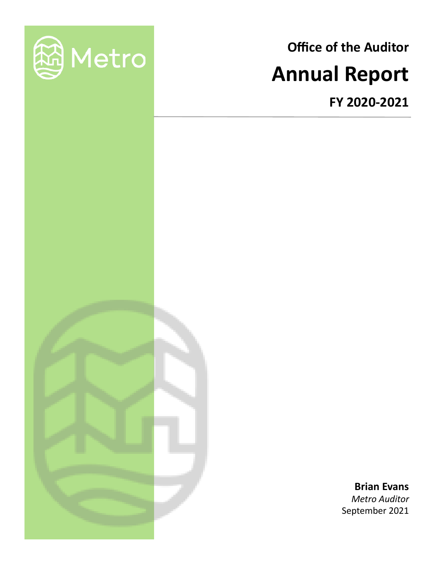

# **Office of the Auditor Annual Report**

**FY 2020-2021**

**Brian Evans** *Metro Auditor* September 2021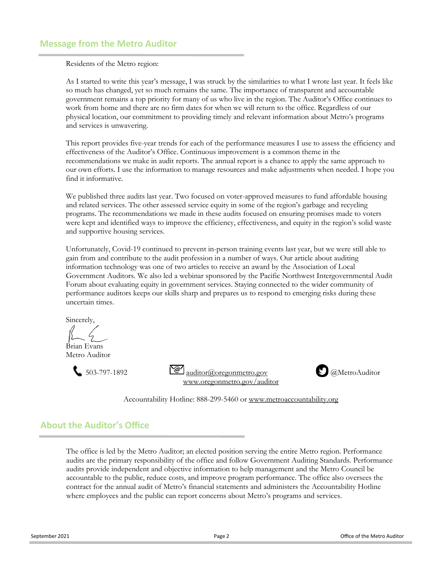Residents of the Metro region:

As I started to write this year's message, I was struck by the similarities to what I wrote last year. It feels like so much has changed, yet so much remains the same. The importance of transparent and accountable government remains a top priority for many of us who live in the region. The Auditor's Office continues to work from home and there are no firm dates for when we will return to the office. Regardless of our physical location, our commitment to providing timely and relevant information about Metro's programs and services is unwavering.

This report provides five-year trends for each of the performance measures I use to assess the efficiency and effectiveness of the Auditor's Office. Continuous improvement is a common theme in the recommendations we make in audit reports. The annual report is a chance to apply the same approach to our own efforts. I use the information to manage resources and make adjustments when needed. I hope you find it informative.

We published three audits last year. Two focused on voter-approved measures to fund affordable housing and related services. The other assessed service equity in some of the region's garbage and recycling programs. The recommendations we made in these audits focused on ensuring promises made to voters were kept and identified ways to improve the efficiency, effectiveness, and equity in the region's solid waste and supportive housing services.

Unfortunately, Covid-19 continued to prevent in-person training events last year, but we were still able to gain from and contribute to the audit profession in a number of ways. Our article about auditing information technology was one of two articles to receive an award by the Association of Local Government Auditors. We also led a webinar sponsored by the Pacific Northwest Intergovernmental Audit Forum about evaluating equity in government services. Staying connected to the wider community of performance auditors keeps our skills sharp and prepares us to respond to emerging risks during these uncertain times.

Sincerely,

Brian Evans Metro Auditor



[www.oregonmetro.gov/auditor](http://www.oregonmetro.gov/regional-leadership/metro-auditor)



Accountability Hotline: 888-299-5460 or [www.metroaccountability.org](file://///alex/work/auditor/confidential/Annual%20Report/2017-18/www.metroaccountabilty.org)

# **About the Auditor's Office**

The office is led by the Metro Auditor; an elected position serving the entire Metro region. Performance audits are the primary responsibility of the office and follow Government Auditing Standards. Performance audits provide independent and objective information to help management and the Metro Council be accountable to the public, reduce costs, and improve program performance. The office also oversees the contract for the annual audit of Metro's financial statements and administers the Accountability Hotline where employees and the public can report concerns about Metro's programs and services.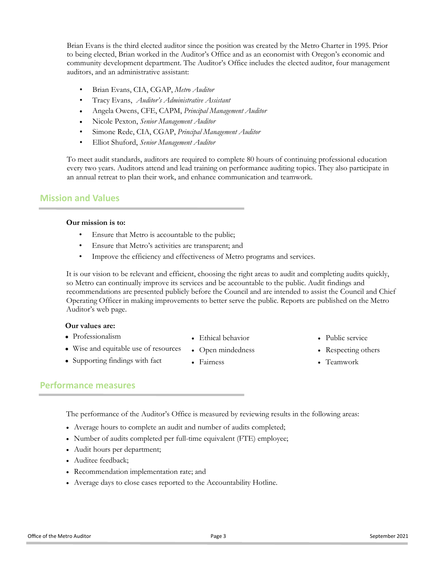Brian Evans is the third elected auditor since the position was created by the Metro Charter in 1995. Prior to being elected, Brian worked in the Auditor's Office and as an economist with Oregon's economic and community development department. The Auditor's Office includes the elected auditor, four management auditors, and an administrative assistant:

- Brian Evans, CIA, CGAP, *Metro Auditor*
- Tracy Evans, *Auditor's Administrative Assistant*
- Angela Owens, CFE, CAPM, *Principal Management Auditor*
- Nicole Pexton, *Senior Management Auditor*
- Simone Rede, CIA, CGAP, *Principal Management Auditor*
- Elliot Shuford, *Senior Management Auditor*

To meet audit standards, auditors are required to complete 80 hours of continuing professional education every two years. Auditors attend and lead training on performance auditing topics. They also participate in an annual retreat to plan their work, and enhance communication and teamwork.

## **Mission and Values**

## **Our mission is to:**

- Ensure that Metro is accountable to the public;
- Ensure that Metro's activities are transparent; and
- Improve the efficiency and effectiveness of Metro programs and services.

It is our vision to be relevant and efficient, choosing the right areas to audit and completing audits quickly, so Metro can continually improve its services and be accountable to the public. Audit findings and recommendations are presented publicly before the Council and are intended to assist the Council and Chief Operating Officer in making improvements to better serve the public. Reports are published on the Metro Auditor's web page.

### **Our values are:**

- Professionalism
- Wise and equitable use of resources

• Supporting findings with fact

- Ethical behavior
	- Open mindedness
- Fairness
- Public service
- Respecting others
- Teamwork

# **Performance measures**

The performance of the Auditor's Office is measured by reviewing results in the following areas:

- Average hours to complete an audit and number of audits completed;
- Number of audits completed per full-time equivalent (FTE) employee;
- Audit hours per department;
- Auditee feedback;
- Recommendation implementation rate; and
- Average days to close cases reported to the Accountability Hotline.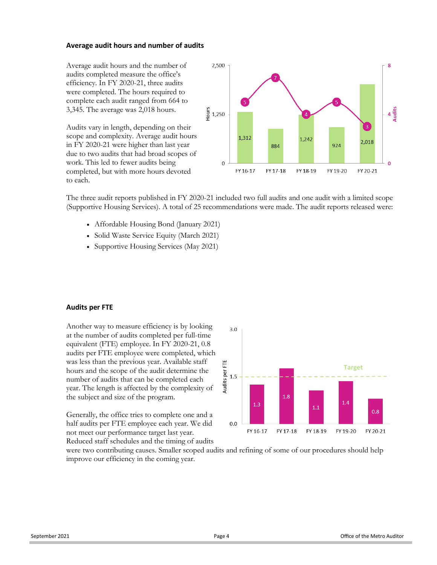### **Average audit hours and number of audits**

Average audit hours and the number of audits completed measure the office's efficiency. In FY 2020-21, three audits were completed. The hours required to complete each audit ranged from 664 to 3,345. The average was 2,018 hours.

Audits vary in length, depending on their scope and complexity. Average audit hours in FY 2020-21 were higher than last year due to two audits that had broad scopes of work. This led to fewer audits being completed, but with more hours devoted to each.



The three audit reports published in FY 2020-21 included two full audits and one audit with a limited scope (Supportive Housing Services). A total of 25 recommendations were made. The audit reports released were:

- Affordable Housing Bond (January 2021)
- Solid Waste Service Equity (March 2021)
- Supportive Housing Services (May 2021)

#### **Audits per FTE**

Another way to measure efficiency is by looking at the number of audits completed per full-time equivalent (FTE) employee. In FY 2020-21, 0.8 audits per FTE employee were completed, which was less than the previous year. Available staff hours and the scope of the audit determine the number of audits that can be completed each year. The length is affected by the complexity of the subject and size of the program.

Generally, the office tries to complete one and a half audits per FTE employee each year. We did not meet our performance target last year. Reduced staff schedules and the timing of audits



were two contributing causes. Smaller scoped audits and refining of some of our procedures should help improve our efficiency in the coming year.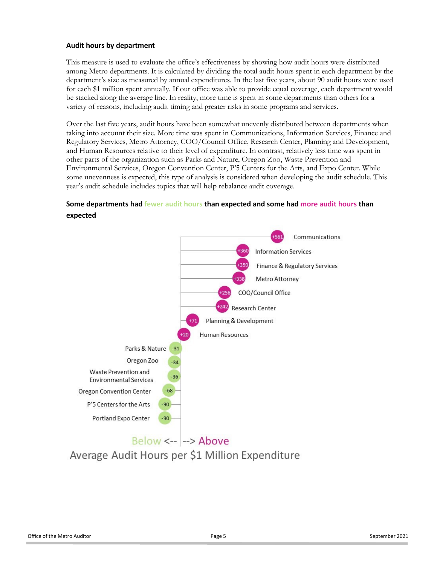## **Audit hours by department**

This measure is used to evaluate the office's effectiveness by showing how audit hours were distributed among Metro departments. It is calculated by dividing the total audit hours spent in each department by the department's size as measured by annual expenditures. In the last five years, about 90 audit hours were used for each \$1 million spent annually. If our office was able to provide equal coverage, each department would be stacked along the average line. In reality, more time is spent in some departments than others for a variety of reasons, including audit timing and greater risks in some programs and services.

Over the last five years, audit hours have been somewhat unevenly distributed between departments when taking into account their size. More time was spent in Communications, Information Services, Finance and Regulatory Services, Metro Attorney, COO/Council Office, Research Center, Planning and Development, and Human Resources relative to their level of expenditure. In contrast, relatively less time was spent in other parts of the organization such as Parks and Nature, Oregon Zoo, Waste Prevention and Environmental Services, Oregon Convention Center, P'5 Centers for the Arts, and Expo Center. While some unevenness is expected, this type of analysis is considered when developing the audit schedule. This year's audit schedule includes topics that will help rebalance audit coverage.

## **Some departments had fewer audit hours than expected and some had more audit hours than expected**



Average Audit Hours per \$1 Million Expenditure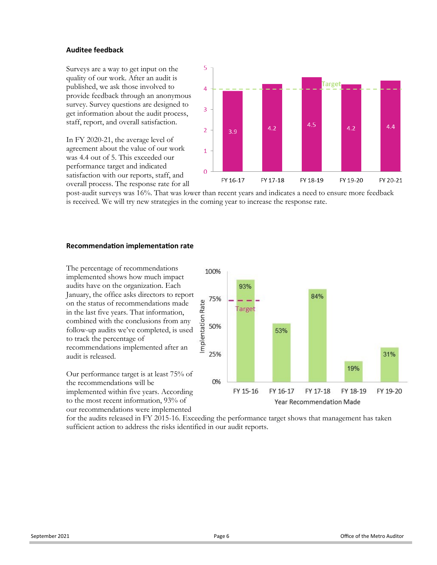## **Auditee feedback**

Surveys are a way to get input on the quality of our work. After an audit is published, we ask those involved to provide feedback through an anonymous survey. Survey questions are designed to get information about the audit process, staff, report, and overall satisfaction.

In FY 2020-21, the average level of agreement about the value of our work was 4.4 out of 5. This exceeded our performance target and indicated satisfaction with our reports, staff, and overall process. The response rate for all



post-audit surveys was 16%. That was lower than recent years and indicates a need to ensure more feedback is received. We will try new strategies in the coming year to increase the response rate.

## **Recommendation implementation rate**

The percentage of recommendations implemented shows how much impact audits have on the organization. Each January, the office asks directors to report on the status of recommendations made in the last five years. That information, combined with the conclusions from any follow-up audits we've completed, is used to track the percentage of recommendations implemented after an audit is released.

Our performance target is at least 75% of the recommendations will be implemented within five years. According to the most recent information, 93% of our recommendations were implemented



for the audits released in FY 2015-16. Exceeding the performance target shows that management has taken sufficient action to address the risks identified in our audit reports.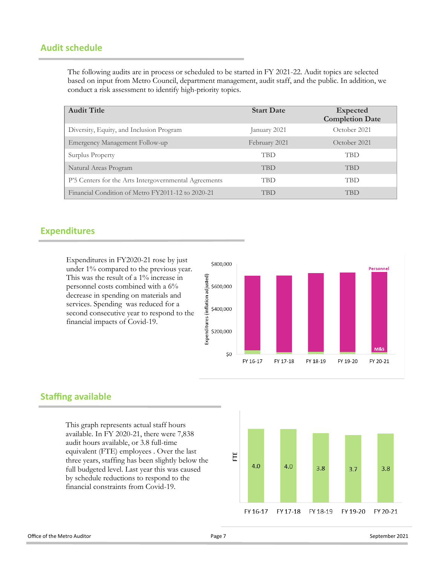# **Audit schedule**

The following audits are in process or scheduled to be started in FY 2021-22. Audit topics are selected based on input from Metro Council, department management, audit staff, and the public. In addition, we conduct a risk assessment to identify high-priority topics.

| <b>Audit Title</b>                                    | <b>Start Date</b> | <b>Expected</b><br><b>Completion Date</b> |
|-------------------------------------------------------|-------------------|-------------------------------------------|
| Diversity, Equity, and Inclusion Program              | January 2021      | October 2021                              |
| Emergency Management Follow-up                        | February 2021     | October 2021                              |
| Surplus Property                                      | <b>TBD</b>        | <b>TBD</b>                                |
| Natural Areas Program                                 | <b>TBD</b>        | <b>TBD</b>                                |
| P'5 Centers for the Arts Intergovernmental Agreements | TBD               | <b>TBD</b>                                |
| Financial Condition of Metro FY2011-12 to 2020-21     | TBD               | <b>TBD</b>                                |

## **Expenditures**

Expenditures in FY2020-21 rose by just under 1% compared to the previous year. This was the result of a 1% increase in personnel costs combined with a 6% decrease in spending on materials and services. Spending was reduced for a second consecutive year to respond to the financial impacts of Covid-19.



# **Staffing available**

This graph represents actual staff hours available. In FY 2020-21, there were 7,838 audit hours available, or 3.8 full-time equivalent (FTE) employees . Over the last three years, staffing has been slightly below the full budgeted level. Last year this was caused by schedule reductions to respond to the financial constraints from Covid-19.